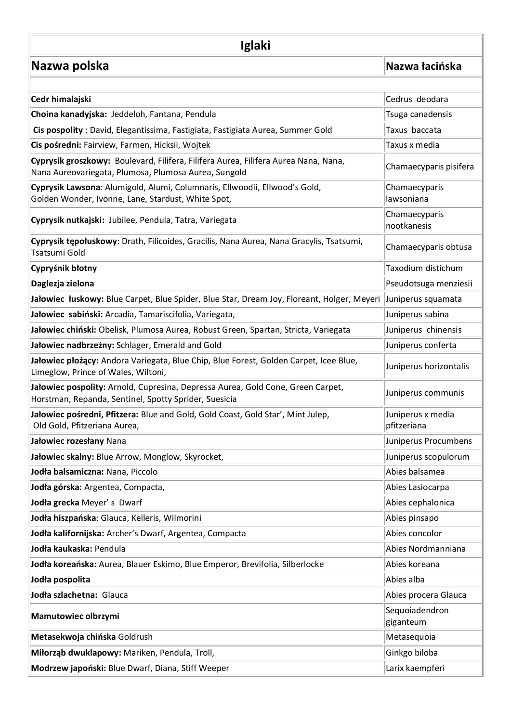## **Iglaki**

**Nazwa polska [Nazwa łacińska](http://ogrod-amat.strefa.pl/spis_latin.php)** 

| Cedr himalajski                                                                                                                             | Cedrus deodara                   |
|---------------------------------------------------------------------------------------------------------------------------------------------|----------------------------------|
| Choina kanadyjska: Jeddeloh, Fantana, Pendula                                                                                               | Tsuga canadensis                 |
| Cis pospolity: David, Elegantissima, Fastigiata, Fastigiata Aurea, Summer Gold                                                              | Taxus baccata                    |
| Cis pośredni: Fairview, Farmen, Hicksii, Wojtek                                                                                             | Taxus x media                    |
| Cyprysik groszkowy: Boulevard, Filifera, Filifera Aurea, Filifera Aurea Nana, Nana,<br>Nana Aureovariegata, Plumosa, Plumosa Aurea, Sungold | Chamaecyparis pisifera           |
| Cyprysik Lawsona: Alumigold, Alumi, Columnaris, Ellwoodii, Ellwood's Gold,<br>Golden Wonder, Ivonne, Lane, Stardust, White Spot,            | Chamaecyparis<br>lawsoniana      |
| Cyprysik nutkajski: Jubilee, Pendula, Tatra, Variegata                                                                                      | Chamaecyparis<br>nootkanesis     |
| Cyprysik tępołuskowy: Drath, Filicoides, Gracilis, Nana Aurea, Nana Gracylis, Tsatsumi,<br>Tsatsumi Gold                                    | Chamaecyparis obtusa             |
| Cypryśnik błotny                                                                                                                            | Taxodium distichum               |
| Daglezja zielona                                                                                                                            | Pseudotsuga menziesii            |
| Jałowiec łuskowy: Blue Carpet, Blue Spider, Blue Star, Dream Joy, Floreant, Holger, Meyeri  Juniperus squamata                              |                                  |
| Jałowiec sabiński: Arcadia, Tamariscifolia, Variegata,                                                                                      | Juniperus sabina                 |
| Jałowiec chiński: Obelisk, Plumosa Aurea, Robust Green, Spartan, Stricta, Variegata                                                         | Juniperus chinensis              |
| Jałowiec nadbrzeżny: Schlager, Emerald and Gold                                                                                             | Juniperus conferta               |
| Jałowiec płożący: Andora Variegata, Blue Chip, Blue Forest, Golden Carpet, Icee Blue,<br>Limeglow, Prince of Wales, Wiltoni,                | Juniperus horizontalis           |
| Jałowiec pospolity: Arnold, Cupresina, Depressa Aurea, Gold Cone, Green Carpet,<br>Horstman, Repanda, Sentinel, Spotty Sprider, Suesicia    | Juniperus communis               |
| Jałowiec pośredni, Pfitzera: Blue and Gold, Gold Coast, Gold Star', Mint Julep,<br>Old Gold, Pfitzeriana Aurea,                             | Juniperus x media<br>pfitzeriana |
| Jałowiec rozesłany Nana                                                                                                                     | Juniperus Procumbens             |
| Jałowiec skalny: Blue Arrow, Monglow, Skyrocket,                                                                                            | Juniperus scopulorum             |
| Jodła balsamiczna: Nana, Piccolo                                                                                                            | Abies balsamea                   |
| Jodła górska: Argentea, Compacta,                                                                                                           | Abies Lasiocarpa                 |
| Jodła grecka Meyer's Dwarf                                                                                                                  | Abies cephalonica                |
| Jodła hiszpańska: Glauca, Kelleris, Wilmorini                                                                                               | Abies pinsapo                    |
| Jodła kalifornijska: Archer's Dwarf, Argentea, Compacta                                                                                     | Abies concolor                   |
| Jodła kaukaska: Pendula                                                                                                                     | Abies Nordmanniana               |
| Jodła koreańska: Aurea, Blauer Eskimo, Blue Emperor, Brevifolia, Silberlocke                                                                | Abies koreana                    |
| Jodła pospolita                                                                                                                             | Abies alba                       |
| Jodła szlachetna: Glauca                                                                                                                    | Abies procera Glauca             |
| Mamutowiec olbrzymi                                                                                                                         | Sequoiadendron<br>giganteum      |
| Metasekwoja chińska Goldrush                                                                                                                | Metasequoia                      |
| Miłorząb dwuklapowy: Mariken, Pendula, Troll,                                                                                               | Ginkgo biloba                    |
| Modrzew japoński: Blue Dwarf, Diana, Stiff Weeper                                                                                           | Larix kaempferi                  |